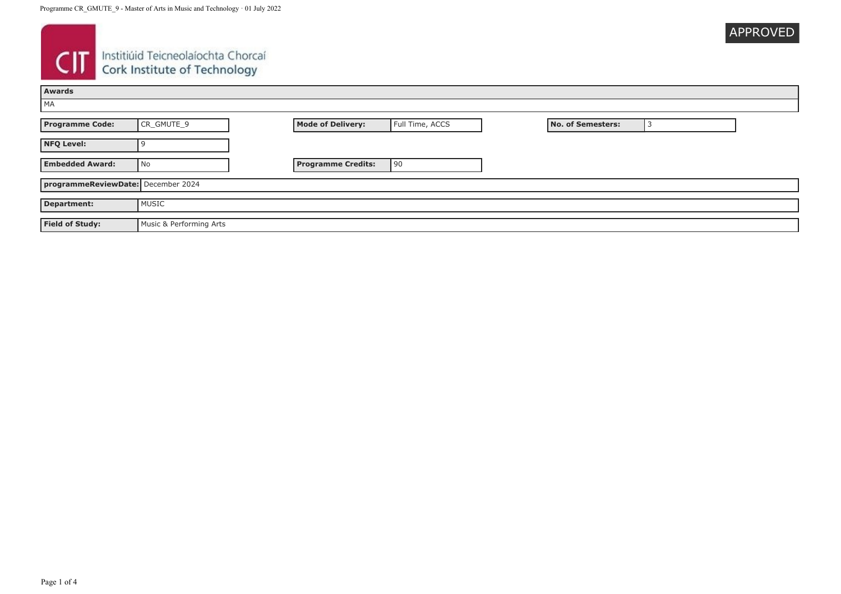

## **CIT** Instituid Teicneolaíochta Chorcaí

| Awards                             |                         |                           |                 |                          |  |
|------------------------------------|-------------------------|---------------------------|-----------------|--------------------------|--|
| MA                                 |                         |                           |                 |                          |  |
| <b>Programme Code:</b>             | CR_GMUTE_9              | <b>Mode of Delivery:</b>  | Full Time, ACCS | <b>No. of Semesters:</b> |  |
| <b>NFQ Level:</b>                  |                         |                           |                 |                          |  |
| <b>Embedded Award:</b>             | l No                    | <b>Programme Credits:</b> | 90              |                          |  |
| programmeReviewDate: December 2024 |                         |                           |                 |                          |  |
| <b>Department:</b>                 | MUSIC                   |                           |                 |                          |  |
| <b>Field of Study:</b>             | Music & Performing Arts |                           |                 |                          |  |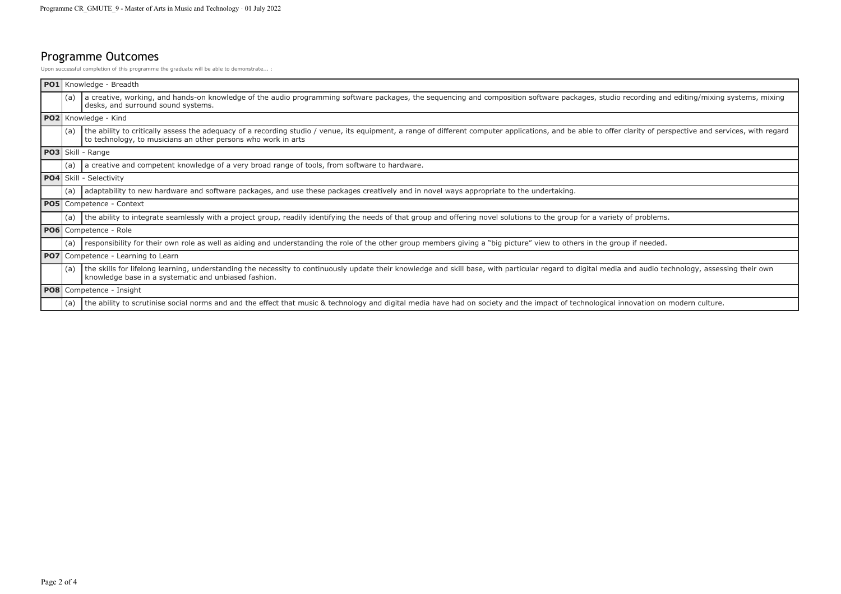## Programme Outcomes

Upon successful completion of this programme the graduate will be able to demonstrate... :

|            |                                 | <b>PO1</b> Knowledge - Breadth                                                                                                                                                                                                                                                 |  |  |
|------------|---------------------------------|--------------------------------------------------------------------------------------------------------------------------------------------------------------------------------------------------------------------------------------------------------------------------------|--|--|
|            | (a)                             | a creative, working, and hands-on knowledge of the audio programming software packages, the sequencing and composition software packages, studio recording and editing/mixing systems, mixing<br>desks, and surround sound systems.                                            |  |  |
|            |                                 | PO2 Knowledge - Kind                                                                                                                                                                                                                                                           |  |  |
|            | (a)                             | the ability to critically assess the adequacy of a recording studio / venue, its equipment, a range of different computer applications, and be able to offer clarity of perspective and services, with regard<br>to technology, to musicians an other persons who work in arts |  |  |
|            | <b>PO3</b> Skill - Range        |                                                                                                                                                                                                                                                                                |  |  |
|            | (a)                             | a creative and competent knowledge of a very broad range of tools, from software to hardware.                                                                                                                                                                                  |  |  |
|            | <b>PO4</b> Skill - Selectivity  |                                                                                                                                                                                                                                                                                |  |  |
|            | (a)                             | adaptability to new hardware and software packages, and use these packages creatively and in novel ways appropriate to the undertaking.                                                                                                                                        |  |  |
|            | <b>PO5</b> Competence - Context |                                                                                                                                                                                                                                                                                |  |  |
|            | (a)                             | the ability to integrate seamlessly with a project group, readily identifying the needs of that group and offering novel solutions to the group for a variety of problems.                                                                                                     |  |  |
|            |                                 | <b>PO6</b> Competence - Role                                                                                                                                                                                                                                                   |  |  |
|            | (a)                             | responsibility for their own role as well as aiding and understanding the role of the other group members giving a "big picture" view to others in the group if needed.                                                                                                        |  |  |
| <b>PO7</b> |                                 | Competence - Learning to Learn                                                                                                                                                                                                                                                 |  |  |
|            | (a)                             | the skills for lifelong learning, understanding the necessity to continuously update their knowledge and skill base, with particular regard to digital media and audio technology, assessing their own<br>knowledge base in a systematic and unbiased fashion.                 |  |  |
|            | <b>PO8</b> Competence - Insight |                                                                                                                                                                                                                                                                                |  |  |
|            | (a)                             | the ability to scrutinise social norms and and the effect that music & technology and digital media have had on society and the impact of technological innovation on modern culture.                                                                                          |  |  |
|            |                                 |                                                                                                                                                                                                                                                                                |  |  |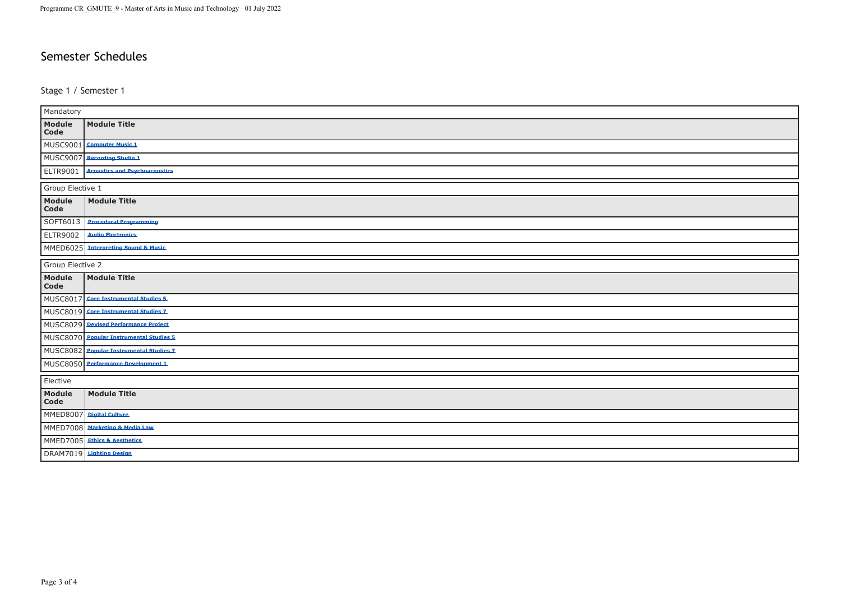## Semester Schedules

## Stage 1 / Semester 1

| Mandatory                 |                                                   |  |  |
|---------------------------|---------------------------------------------------|--|--|
| Module<br>Code            | <b>Module Title</b>                               |  |  |
| MUSC9001                  | <b>Computer Music 1</b>                           |  |  |
| <b>MUSC9007</b>           | <b>Recording Studio 1</b>                         |  |  |
| <b>ELTR9001</b>           | <b>Acoustics and Psychoacoustics</b>              |  |  |
|                           | Group Elective 1                                  |  |  |
| Module<br>$\mathbf C$ ode | <b>Module Title</b>                               |  |  |
| SOFT6013                  | <b>Procedural Programming</b>                     |  |  |
| <b>ELTR9002</b>           | <b>Audio Electronics</b>                          |  |  |
|                           | MMED6025<br><b>Interpreting Sound &amp; Music</b> |  |  |
| Group Elective 2          |                                                   |  |  |
| Module<br>Code            | <b>Module Title</b>                               |  |  |
| <b>MUSC8017</b>           | <b>Core Instrumental Studies 5</b>                |  |  |
| <b>MUSC8019</b>           | <b>Core Instrumental Studies 7</b>                |  |  |
| <b>MUSC8029</b>           | <b>Devised Performance Project</b>                |  |  |
| <b>MUSC8070</b>           | <b>Popular Instrumental Studies 5</b>             |  |  |
| <b>MUSC8082</b>           | <b>Popular Instrumental Studies 7</b>             |  |  |
| <b>MUSC8050</b>           | <b>Performance Development 1</b>                  |  |  |
| Elective                  |                                                   |  |  |
| Module<br>Code            | <b>Module Title</b>                               |  |  |
| <b>MMED8007</b>           | <b>Digital Culture</b>                            |  |  |
| <b>MMED7008</b>           | <b>Marketing &amp; Media Law</b>                  |  |  |
| MMED7005                  | <b>Ethics &amp; Aesthetics</b>                    |  |  |
| DRAM7019                  | <b>Lighting Design</b>                            |  |  |